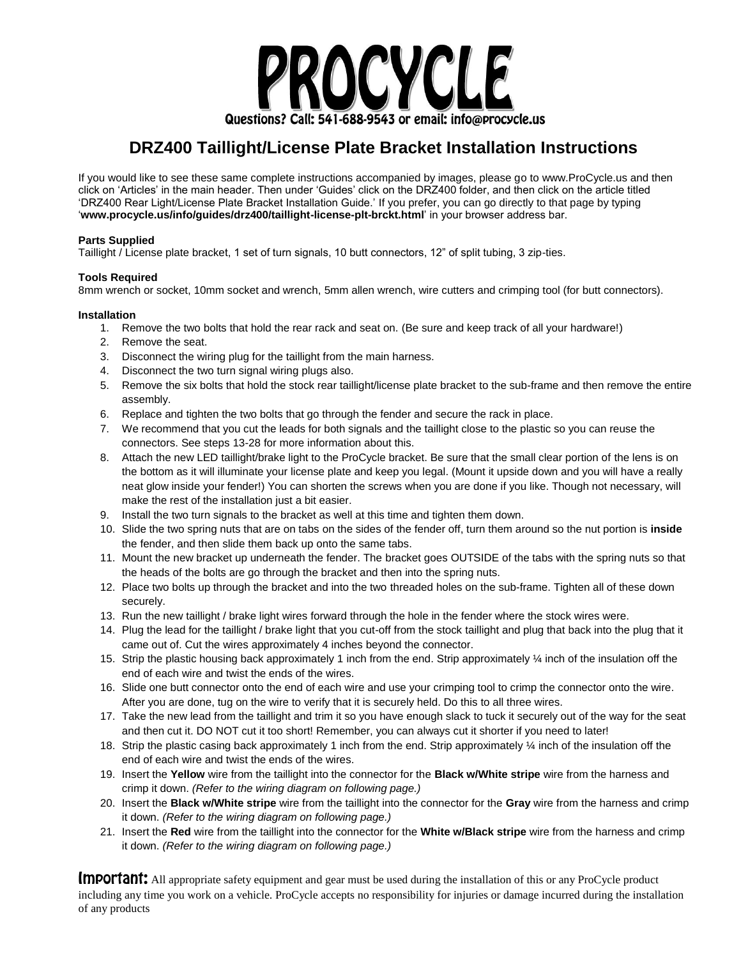

## **DRZ400 Taillight/License Plate Bracket Installation Instructions**

If you would like to see these same complete instructions accompanied by images, please go to www.ProCycle.us and then click on 'Articles' in the main header. Then under 'Guides' click on the DRZ400 folder, and then click on the article titled 'DRZ400 Rear Light/License Plate Bracket Installation Guide.' If you prefer, you can go directly to that page by typing '**www.procycle.us/info/guides/drz400/taillight-license-plt-brckt.html**' in your browser address bar.

#### **Parts Supplied**

Taillight / License plate bracket, 1 set of turn signals, 10 butt connectors, 12" of split tubing, 3 zip-ties.

#### **Tools Required**

8mm wrench or socket, 10mm socket and wrench, 5mm allen wrench, wire cutters and crimping tool (for butt connectors).

#### **Installation**

- 1. Remove the two bolts that hold the rear rack and seat on. (Be sure and keep track of all your hardware!)
- 2. Remove the seat.
- 3. Disconnect the wiring plug for the taillight from the main harness.
- 4. Disconnect the two turn signal wiring plugs also.
- 5. Remove the six bolts that hold the stock rear taillight/license plate bracket to the sub-frame and then remove the entire assembly.
- 6. Replace and tighten the two bolts that go through the fender and secure the rack in place.
- 7. We recommend that you cut the leads for both signals and the taillight close to the plastic so you can reuse the connectors. See steps 13-28 for more information about this.
- 8. Attach the new LED taillight/brake light to the ProCycle bracket. Be sure that the small clear portion of the lens is on the bottom as it will illuminate your license plate and keep you legal. (Mount it upside down and you will have a really neat glow inside your fender!) You can shorten the screws when you are done if you like. Though not necessary, will make the rest of the installation just a bit easier.
- 9. Install the two turn signals to the bracket as well at this time and tighten them down.
- 10. Slide the two spring nuts that are on tabs on the sides of the fender off, turn them around so the nut portion is **inside** the fender, and then slide them back up onto the same tabs.
- 11. Mount the new bracket up underneath the fender. The bracket goes OUTSIDE of the tabs with the spring nuts so that the heads of the bolts are go through the bracket and then into the spring nuts.
- 12. Place two bolts up through the bracket and into the two threaded holes on the sub-frame. Tighten all of these down securely.
- 13. Run the new taillight / brake light wires forward through the hole in the fender where the stock wires were.
- 14. Plug the lead for the taillight / brake light that you cut-off from the stock taillight and plug that back into the plug that it came out of. Cut the wires approximately 4 inches beyond the connector.
- 15. Strip the plastic housing back approximately 1 inch from the end. Strip approximately ¼ inch of the insulation off the end of each wire and twist the ends of the wires.
- 16. Slide one butt connector onto the end of each wire and use your crimping tool to crimp the connector onto the wire. After you are done, tug on the wire to verify that it is securely held. Do this to all three wires.
- 17. Take the new lead from the taillight and trim it so you have enough slack to tuck it securely out of the way for the seat and then cut it. DO NOT cut it too short! Remember, you can always cut it shorter if you need to later!
- 18. Strip the plastic casing back approximately 1 inch from the end. Strip approximately ¼ inch of the insulation off the end of each wire and twist the ends of the wires.
- 19. Insert the **Yellow** wire from the taillight into the connector for the **Black w/White stripe** wire from the harness and crimp it down. *(Refer to the wiring diagram on following page.)*
- 20. Insert the **Black w/White stripe** wire from the taillight into the connector for the **Gray** wire from the harness and crimp it down. *(Refer to the wiring diagram on following page.)*
- 21. Insert the **Red** wire from the taillight into the connector for the **White w/Black stripe** wire from the harness and crimp it down. *(Refer to the wiring diagram on following page.)*

Important: All appropriate safety equipment and gear must be used during the installation of this or any ProCycle product including any time you work on a vehicle. ProCycle accepts no responsibility for injuries or damage incurred during the installation of any products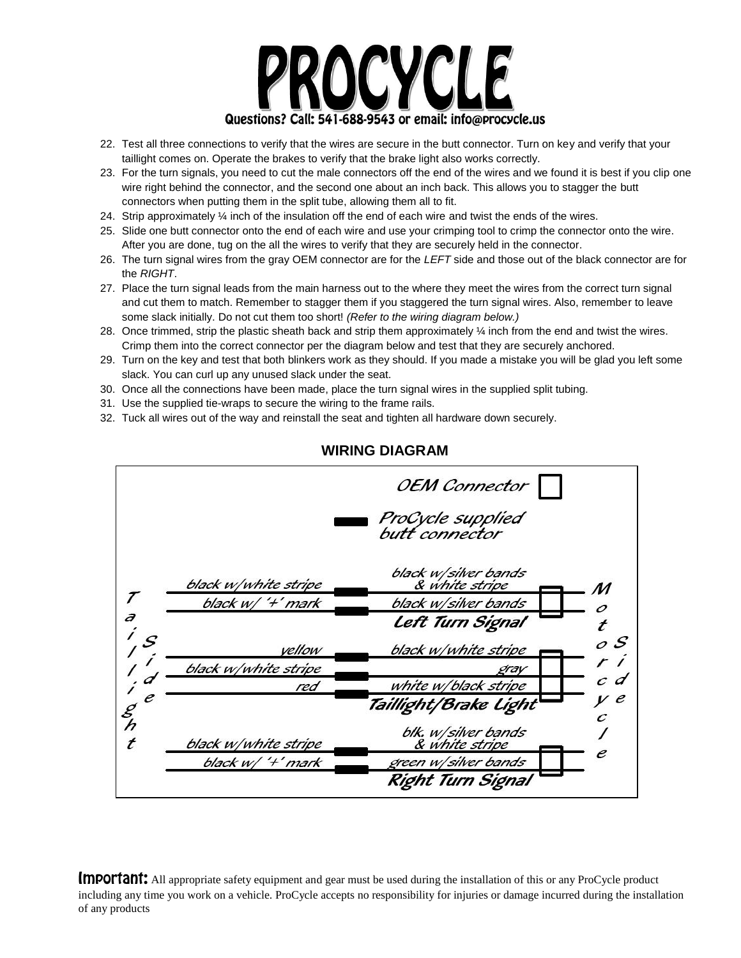

- 22. Test all three connections to verify that the wires are secure in the butt connector. Turn on key and verify that your taillight comes on. Operate the brakes to verify that the brake light also works correctly.
- 23. For the turn signals, you need to cut the male connectors off the end of the wires and we found it is best if you clip one wire right behind the connector, and the second one about an inch back. This allows you to stagger the butt connectors when putting them in the split tube, allowing them all to fit.
- 24. Strip approximately ¼ inch of the insulation off the end of each wire and twist the ends of the wires.
- 25. Slide one butt connector onto the end of each wire and use your crimping tool to crimp the connector onto the wire. After you are done, tug on the all the wires to verify that they are securely held in the connector.
- 26. The turn signal wires from the gray OEM connector are for the *LEFT* side and those out of the black connector are for the *RIGHT*.
- 27. Place the turn signal leads from the main harness out to the where they meet the wires from the correct turn signal and cut them to match. Remember to stagger them if you staggered the turn signal wires. Also, remember to leave some slack initially. Do not cut them too short! *(Refer to the wiring diagram below.)*
- 28. Once trimmed, strip the plastic sheath back and strip them approximately ¼ inch from the end and twist the wires. Crimp them into the correct connector per the diagram below and test that they are securely anchored.
- 29. Turn on the key and test that both blinkers work as they should. If you made a mistake you will be glad you left some slack. You can curl up any unused slack under the seat.
- 30. Once all the connections have been made, place the turn signal wires in the supplied split tubing.
- 31. Use the supplied tie-wraps to secure the wiring to the frame rails.
- 32. Tuck all wires out of the way and reinstall the seat and tighten all hardware down securely.



### **WIRING DIAGRAM**

Important: All appropriate safety equipment and gear must be used during the installation of this or any ProCycle product including any time you work on a vehicle. ProCycle accepts no responsibility for injuries or damage incurred during the installation of any products